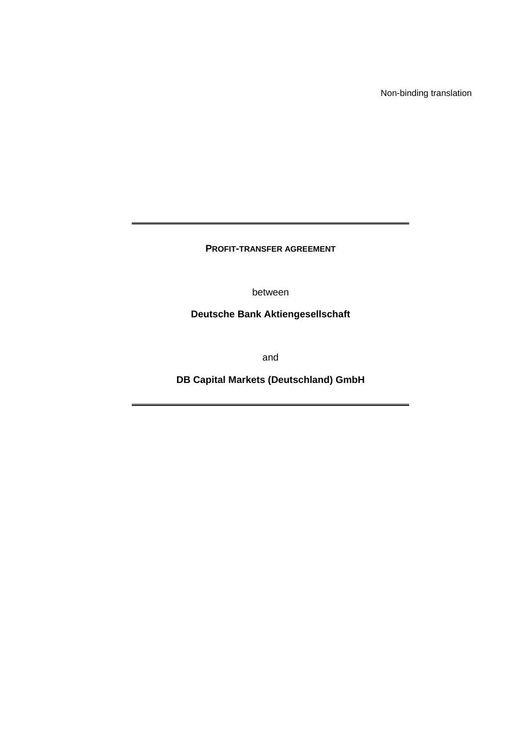Non-binding translation

**PROFIT-TRANSFER AGREEMENT**

between

**Deutsche Bank Aktiengesellschaft** 

and

**DB Capital Markets (Deutschland) GmbH**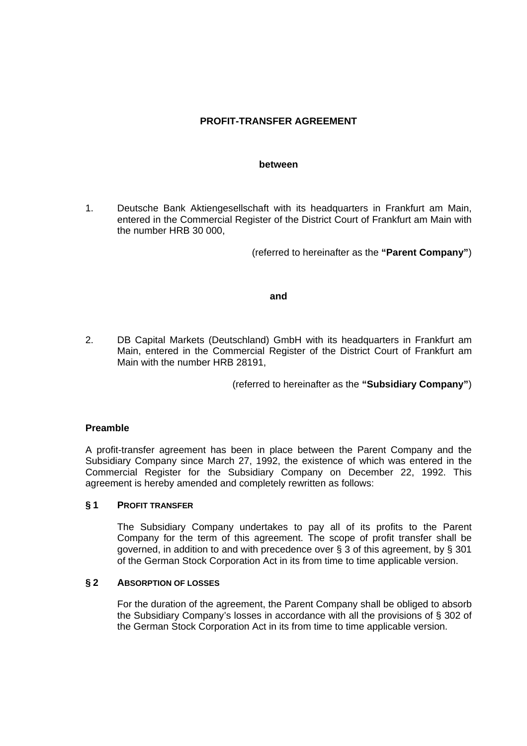# **PROFIT-TRANSFER AGREEMENT**

#### **between**

1. Deutsche Bank Aktiengesellschaft with its headquarters in Frankfurt am Main, entered in the Commercial Register of the District Court of Frankfurt am Main with the number HRB 30 000,

(referred to hereinafter as the **"Parent Company"**)

### **and**

2. DB Capital Markets (Deutschland) GmbH with its headquarters in Frankfurt am Main, entered in the Commercial Register of the District Court of Frankfurt am Main with the number HRB 28191,

(referred to hereinafter as the **"Subsidiary Company"**)

### **Preamble**

A profit-transfer agreement has been in place between the Parent Company and the Subsidiary Company since March 27, 1992, the existence of which was entered in the Commercial Register for the Subsidiary Company on December 22, 1992. This agreement is hereby amended and completely rewritten as follows:

### **§ 1 PROFIT TRANSFER**

 The Subsidiary Company undertakes to pay all of its profits to the Parent Company for the term of this agreement. The scope of profit transfer shall be governed, in addition to and with precedence over § 3 of this agreement, by § 301 of the German Stock Corporation Act in its from time to time applicable version.

### **§ 2 ABSORPTION OF LOSSES**

 For the duration of the agreement, the Parent Company shall be obliged to absorb the Subsidiary Company's losses in accordance with all the provisions of § 302 of the German Stock Corporation Act in its from time to time applicable version.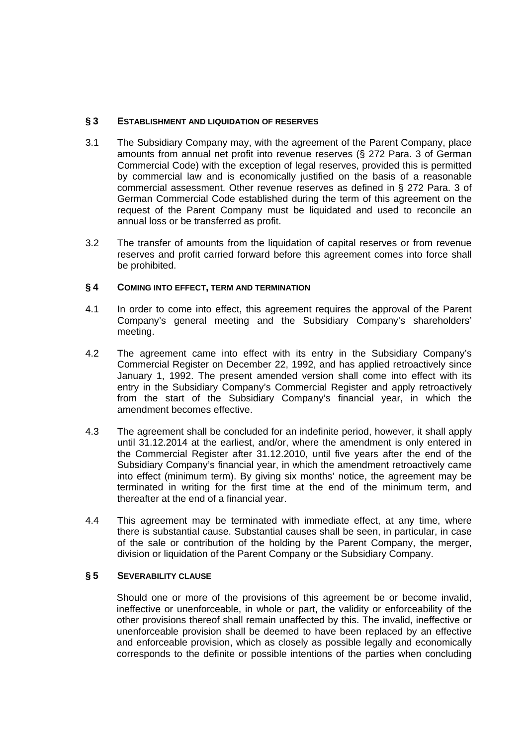## **§ 3 ESTABLISHMENT AND LIQUIDATION OF RESERVES**

- 3.1 The Subsidiary Company may, with the agreement of the Parent Company, place amounts from annual net profit into revenue reserves (§ 272 Para. 3 of German Commercial Code) with the exception of legal reserves, provided this is permitted by commercial law and is economically justified on the basis of a reasonable commercial assessment. Other revenue reserves as defined in § 272 Para. 3 of German Commercial Code established during the term of this agreement on the request of the Parent Company must be liquidated and used to reconcile an annual loss or be transferred as profit.
- 3.2 The transfer of amounts from the liquidation of capital reserves or from revenue reserves and profit carried forward before this agreement comes into force shall be prohibited.

## **§ 4 COMING INTO EFFECT, TERM AND TERMINATION**

- 4.1 In order to come into effect, this agreement requires the approval of the Parent Company's general meeting and the Subsidiary Company's shareholders' meeting.
- 4.2 The agreement came into effect with its entry in the Subsidiary Company's Commercial Register on December 22, 1992, and has applied retroactively since January 1, 1992. The present amended version shall come into effect with its entry in the Subsidiary Company's Commercial Register and apply retroactively from the start of the Subsidiary Company's financial year, in which the amendment becomes effective.
- 4.3 The agreement shall be concluded for an indefinite period, however, it shall apply until 31.12.2014 at the earliest, and/or, where the amendment is only entered in the Commercial Register after 31.12.2010, until five years after the end of the Subsidiary Company's financial year, in which the amendment retroactively came into effect (minimum term). By giving six months' notice, the agreement may be terminated in writing for the first time at the end of the minimum term, and thereafter at the end of a financial year.
- 4.4 This agreement may be terminated with immediate effect, at any time, where there is substantial cause. Substantial causes shall be seen, in particular, in case of the sale or contribution of the holding by the Parent Company, the merger, division or liquidation of the Parent Company or the Subsidiary Company.

## **§ 5 SEVERABILITY CLAUSE**

Should one or more of the provisions of this agreement be or become invalid, ineffective or unenforceable, in whole or part, the validity or enforceability of the other provisions thereof shall remain unaffected by this. The invalid, ineffective or unenforceable provision shall be deemed to have been replaced by an effective and enforceable provision, which as closely as possible legally and economically corresponds to the definite or possible intentions of the parties when concluding